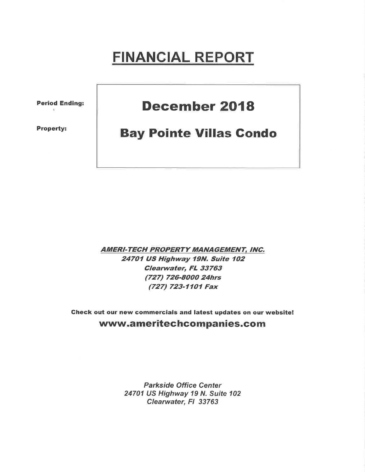# FINANCIAL REPORT

Period Ending:

Property:

## December 2018

## **Bay Pointe Villas Condo**

AMERI-TECH PROPERTY MANAGEMENT, INC. 24701 US Highway 19N. Suite 102 Clearwater, FL 33763 (727) 726-8000 24hrs (727) 723-1101 Fax

Gheck out our new commercials and latest updates on our website! www.ameritechcompanies.com

> Parkside Office Center 24701 US Highway 19 N. Suite 102 Clearwater, FI 33763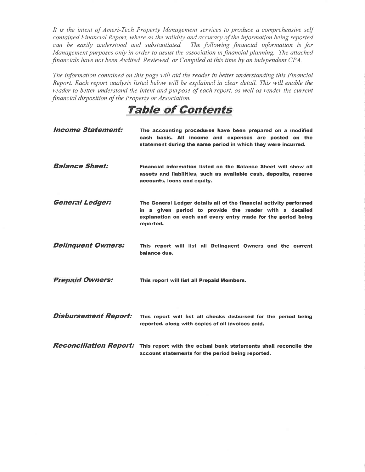It is the intent of Ameri-Tech Property Management services to produce a comprehensive self contained Financial Report, where as the validity and accuracy of the information being reported can be easily understood and substantiated. The following financial information is for Management purposes only in order to assist the association in financial planning. The attached financials have not been Audited, Reviewed, or Compiled at this time by an independent CPA.

The information contained on this page will aid the reader in better understanding this Financial Report. Each report analysis listed below will be explained in clear detail. This will enable the reader to better understand the intent and purpose of each report, as well as render the current financial disposition of the Property or Association.

Table of Contents

| <b>Income Statement:</b>    | The accounting procedures have been prepared on a modified<br>cash basis. All income and expenses are posted on the<br>statement during the same period in which they were incurred.                        |
|-----------------------------|-------------------------------------------------------------------------------------------------------------------------------------------------------------------------------------------------------------|
| <b>Balance Sheet:</b>       | Financial information listed on the Balance Sheet will show all<br>assets and liabilities, such as available cash, deposits, reserve<br>accounts, loans and equity.                                         |
| <b>General Ledger:</b>      | The General Ledger details all of the financial activity performed<br>in a given period to provide the reader with a detailed<br>explanation on each and every entry made for the period being<br>reported. |
| <b>Delinquent Owners:</b>   | This report will list all Delinguent Owners and the current<br>balance due.                                                                                                                                 |
| <b>Prepaid Owners:</b>      | This report will list all Prepaid Members.                                                                                                                                                                  |
| <b>Disbursement Report:</b> | This report will list all checks disbursed for the period being<br>reported, along with copies of all invoices paid.                                                                                        |
|                             | <b>Reconciliation Report:</b> This report with the actual bank statements shall reconcile the<br>account statements for the period being reported.                                                          |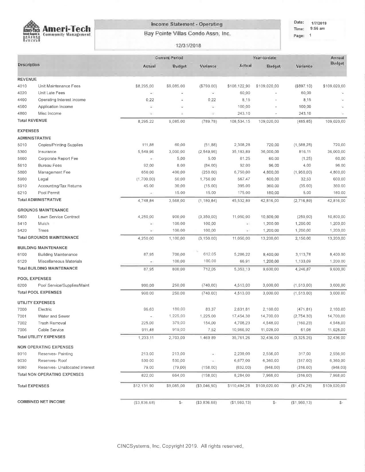

### Income Statement - Operating

Bay Pointe Villas Condo Assn. Inc.

Date: 1/7/2019 Time: 9:56 am Page: 1

#### 12/31/2018

|                       |                                     |                          | <b>Current Period</b> |                |               | Year-to-date   |                 | Annual        |
|-----------------------|-------------------------------------|--------------------------|-----------------------|----------------|---------------|----------------|-----------------|---------------|
| Description           |                                     | Actual                   | Budget                | Variance       | Actual        | Budget         | Variance        | Budget        |
| <b>REVENUE</b>        |                                     |                          |                       |                |               |                |                 |               |
| 4010                  | Unit Maintenance Fees               | \$8,295.00               | \$9,085.00            | ( \$790.00)    | \$108,122,90  | \$109,020.00   | (\$897.10)      | \$109,020.00  |
| 4020                  | Unit Late Fees                      | $\overline{\phantom{a}}$ | Ξ                     | ÷              | 60.00         |                | 60,00           |               |
| 4400                  | Operating Interest Income           | 0.22                     | ¥.                    | 0,22           | 8.15          |                | 8.15            |               |
| 4500                  | Application Income                  | Ψ                        |                       | ÷              | 100.00        |                | 100.00          |               |
| 4800                  | Misc Income                         | ÷                        | ż                     | ÷              | 243,10        |                | 243.10          |               |
| <b>Total REVENUE</b>  |                                     | 8,295.22                 | 9,085.00              | (789.78)       | 108,534.15    | 109,020.00     | (485.85)        | 109,020,00    |
| <b>EXPENSES</b>       |                                     |                          |                       |                |               |                |                 |               |
| <b>ADMINISTRATIVE</b> |                                     |                          |                       |                |               |                |                 |               |
| 5010                  | Copies/Printing Supplies            | 111 88                   | 60 00                 | (51, 88)       | 2,308 28      | 720,00         | (1,588,28)      | 720 00        |
| 5300                  | Insurance                           | 5,549 96                 | 3,000 00              | (2, 549, 96)   | 35,183,89     | 36,000,00      | 816.11          | 36,000 00     |
| 5600                  | Corporate Report Fee                | $\mathcal{M}$            | 5.00                  | 5.00           | 61.25         | 60.00          | (1.25)          | 60 00         |
| 5610                  | <b>Bureau Fees</b>                  | 92 00                    | 8.00                  | (84.00)        | 92.00         | 96,00          | 4.00            | 96.00         |
| 5800                  | Management Fee                      | 650 00                   | 400 00                | (250.00)       | 6,750 00      | 4,800,00       | (1,950,00)      | 4,800.00      |
| 5900                  | Legal                               | (1,700,00)               | 50:00                 | 1,750,00       | 567 47        | 600:00         | 32,53           | 600,00        |
| 5910                  | Accounting/Tax Returns              | 45.00                    | 30:00                 | (15.00)        | 395,00        | 360.00         | (35.00)         | 360,00        |
| 6210                  | Pool Permit                         | ×                        | 15.00                 | 15,00          | 175,00        | 180:00         | 5.00            | 180,00        |
|                       | <b>Total ADMINISTRATIVE</b>         | 4,748.84                 | 3,568.00              | (1, 180, 84)   | 45,532.89     | 42,816.00      | (2,716,89)      | 42,816.00     |
|                       | <b>GROUNDS MAINTENANCE</b>          |                          |                       |                |               |                |                 |               |
| 5400                  | Lawn Service Contract               | 4,250.00                 | 900.00                | (3, 350, 00)   | 11,050,00     | 10,800.00      | (250, 00)       | 10,800.00     |
| 5410                  | Mulch                               | $\overline{a}$           | 100.00                | 100,00         | $\frac{1}{2}$ | 1,200.00       | 1,200.00        | 1,200.00      |
| 5420                  | Trees                               | $\sim$                   | 100.00                | 100,00         | $\sim$        | 1,200.00       | 1,200,00        | 1,200.00      |
|                       | <b>Total GROUNDS MAINTENANCE</b>    | 4,250 00                 | 1,100.00              | (3, 150.00)    | 11,050,00     | 13,200.00      | 2,150.00        | 13,200.00     |
|                       | <b>BUILDING MAINTENANCE</b>         |                          |                       |                |               |                |                 |               |
| 6100                  | <b>Building Maintenance</b>         | 87 95                    | 700.00                | 612.05         | 5,286,22      | 8,400.00       | 3,113.78        | 8,400.00      |
| 6120                  | Miscellaneous Materials             | $\bullet$                | 100:00                | 100.00         | 66 91         | 1,200.00       | 1,133,09        | 1,200.00      |
|                       | <b>Total BUILDING MAINTENANCE</b>   | 87.95                    | 800.00                | 712.05         | 5,353,13      | 9,600.00       | 4,246.87        | 9,600.00      |
| <b>POOL EXPENSES</b>  |                                     |                          |                       |                |               |                |                 |               |
| 6200                  | Pool Service/Supplies/Maint         | 990.00                   | 250.00                | (740.00)       | 4,513.00      | 3,000.00       | (1, 513, 00)    | 3,000.00      |
|                       | <b>Total POOL EXPENSES</b>          | 990.00                   | 250 00                | (740.00)       | 4,513,00      | 3,000 00       | (1, 513.00)     | 3,000.00      |
|                       | <b>UTILITY EXPENSES</b>             |                          |                       |                |               |                |                 |               |
| 7000                  | Electric                            | 96 63                    | 180 00                | 83,37          | 2,631,81      | 2,160.00       | (471.81)        | 2,160.00      |
| 7001                  | Water and Sewer                     | $\tau$ .                 | 1,225.00              | 1,225.00       | 17,454,30     | 14,700.00      | (2,754,30)      | 14,700.00     |
| 7002                  | Trash Removal                       | 225 00                   | 379 00                | 154.00         | 4,708,23      | 4,548.00       | (160.23)        | 4,548.00      |
| 7006                  | Cable Service                       | 911.48                   | 919 00                | 7,52           | 10,966,92     | 11,028 00      | 61.08           | 11,028,00     |
|                       | <b>Total UTILITY EXPENSES</b>       | 1,233,11                 | 2,703.00              | 1,469 89       | 35,761.26     | 32,436.00      | (3,325.26)      | 32,436 00     |
|                       | <b>NON OPERATING EXPENSES</b>       |                          |                       |                |               |                |                 |               |
| 9010                  | Reserves- Painting                  | 213 00                   | 213.00                | i.             | 2,239,00      | 2,556.00       | 317.00          | 2,556,00      |
| 9030                  | Reserves-Roof                       | 530 00                   | 530.00                | $\sim$         | 6,677,00      | 6,360.00       | (317.00)        | 6,360.00      |
| 9080                  | Reserves- Unallocated Interest      | 79,00                    | (79.00)               | (158.00)       | (632.00)      | (948.00)       | (316.00)        | (948.00)      |
|                       | <b>Total NON OPERATING EXPENSES</b> | 822,00                   | 664 00                | (158,00)       | 8,284,00      | 7,968 00       | (316, 00)       | 7,968 00      |
| <b>Total EXPENSES</b> |                                     | \$12,131.90              | \$9,085.00            | (\$3,046,90)   | \$110,494.28  | \$109,020.00   | (\$1,474,28)    | \$109,020.00  |
|                       |                                     |                          |                       |                |               |                |                 |               |
|                       | <b>COMBINED NET INCOME</b>          | (\$3,836.68)             | $\mathbb{S}^-$        | ( \$3, 836.68) | (\$1,960.13)  | $$^{\mbox{-}}$ | ( \$1, 960, 13) | $\frac{2}{3}$ |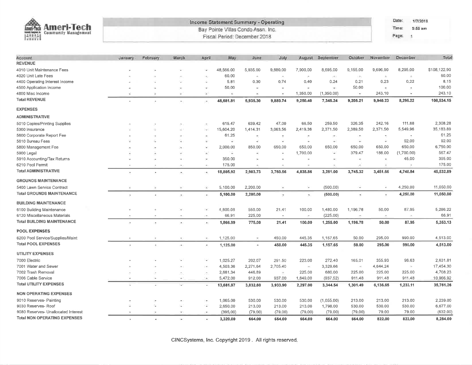| ക<br><b>Ameri-Tech</b><br>Ameri-Tech       | Income Statement Summary - Operating<br>Bay Pointe Villas Condo Assn. Inc. |          |                       |                          |                              |                          |                          |               |                          |                          |                       | Date:<br>1/7/2019<br>Time:<br>$5:56$ am |              |  |  |
|--------------------------------------------|----------------------------------------------------------------------------|----------|-----------------------|--------------------------|------------------------------|--------------------------|--------------------------|---------------|--------------------------|--------------------------|-----------------------|-----------------------------------------|--------------|--|--|
| <b>FARI</b><br><b>Community Management</b> |                                                                            |          |                       |                          | Fiscal Period: December 2018 |                          |                          |               |                          |                          |                       | Page:<br>$\mathcal{A}$                  |              |  |  |
|                                            |                                                                            |          |                       |                          |                              |                          |                          |               |                          |                          |                       |                                         |              |  |  |
| Account                                    | January                                                                    | February | March                 | April                    | May                          | June                     | July                     | August        | September                | October                  | November              | December                                | Total        |  |  |
| <b>REVENUE</b>                             |                                                                            |          |                       |                          |                              |                          |                          |               |                          |                          |                       |                                         |              |  |  |
| 4010 Unit Maintenance Fees                 |                                                                            |          |                       |                          | 48,566.00                    | 5,935.00                 | 9,880.00                 | 7,900.00      | 8,695.00                 | 9,155.00                 | 9,696.90              | 8,295.00                                | \$108,122.90 |  |  |
| 4020 Unit Late Fees                        |                                                                            |          |                       |                          | 60.00                        | $\bullet$                | $\bar{\phantom{a}}$      | ÷             | 29                       | ÷                        | $\pm$                 | $\overline{\phantom{a}}$                | 60.00        |  |  |
| 4400 Operating Interest Income             |                                                                            |          |                       |                          | 5.81                         | 0.30                     | 0.74                     | 0.40          | 0,24                     | 0.21                     | 0.23                  | 0.22                                    | 8.15         |  |  |
| 4500 Application Income                    |                                                                            |          |                       | $\mathcal{M}$            | 50.00                        |                          |                          |               | $\blacksquare$           | 50.00                    |                       |                                         | 100.00       |  |  |
| 4800 Misc Income                           |                                                                            |          | ٠                     | ÷                        | ε                            |                          |                          | 1,350.00      | (1,350.00)               | i.                       | 243.10                | ÷                                       | 243.10       |  |  |
| <b>Total REVENUE</b>                       |                                                                            |          | ۰                     | $\overline{\phantom{a}}$ | 48,681.81                    | 5,935.30                 | 9,880.74                 | 9,250.40      | 7,345.24                 | 9,205.21                 | 9,940.23              | 8,295.22                                | 108,534.15   |  |  |
| <b>EXPENSES</b>                            |                                                                            |          |                       |                          |                              |                          |                          |               |                          |                          |                       |                                         |              |  |  |
| <b>ADMINISTRATIVE</b>                      |                                                                            |          |                       |                          |                              |                          |                          |               |                          |                          |                       |                                         |              |  |  |
| 5010 Copies/Printing Supplies              |                                                                            |          |                       |                          | 615.47                       | 639.42                   | 47.00                    | 66.50         | 259.50                   | 326.35                   | 242.16                | 111.88                                  | 2,308.28     |  |  |
| 5300 Insurance                             |                                                                            |          |                       |                          | 15,604.20                    | 1,414.31                 | 3,063.56                 | 2,419.36      | 2,371.50                 | 2,389.50                 | 2,371.50              | 5,549.96                                | 35,183.89    |  |  |
| 5600 Corporate Report Fee                  |                                                                            |          |                       |                          | 61.25                        |                          |                          | ×,            |                          |                          |                       |                                         | 61.25        |  |  |
| 5610 Bureau Fees                           |                                                                            |          |                       | $\equiv$                 | É,                           | ×                        | Ξ                        | ìщ.           | ¥                        | $\sim$                   | $\leq$                | 92.00                                   | 92.00        |  |  |
| 5800 Management Fee                        |                                                                            |          |                       |                          | 2,000.00                     | 850.00                   | 650.00                   | 650.00        | 650.00                   | 650.00                   | 650.00                | 650.00                                  | 6,750.00     |  |  |
| 5900 Legal                                 |                                                                            |          |                       | ×                        | ÷                            | ×                        | ÷                        | 1,700.00      | S.                       | 379.47                   | 188.00                | (1,700.00)                              | 567.47       |  |  |
| 5910 Accounting/Tax Returns                |                                                                            |          |                       | $\overline{\phantom{a}}$ | 350.00                       |                          |                          | 1m            | ٠                        | $\sim$                   | $\bar{\nu}$           | 45.00                                   | 395.00       |  |  |
| 6210 Pool Permit                           |                                                                            |          | ×.                    | $\sim$                   | 175.00                       | $\overline{\phantom{a}}$ | $\overline{\phantom{a}}$ | $\sim$        | $\overline{\phantom{a}}$ | $\overline{\phantom{a}}$ |                       | $\overline{\phantom{a}}$                | 175.00       |  |  |
| <b>Total ADMINISTRATIVE</b>                |                                                                            |          | $\ddot{}$             | i m                      | 18,805.92                    | 2,903.73                 | 3,760.56                 | 4,835.86      | 3,281.00                 | 3,745.32                 | 3,451.66              | 4,748.84                                | 45,532.89    |  |  |
| <b>GROUNDS MAINTENANCE</b>                 |                                                                            |          |                       |                          |                              |                          |                          |               |                          |                          |                       |                                         |              |  |  |
| 5400 Lawn Service Contract                 |                                                                            |          | $\sim$                | $\tilde{\phantom{a}}$    | 5,100.00                     | 2,200.00                 | ×                        | ÷             | (500.00)                 |                          |                       | 4,250.00                                | 11,050.00    |  |  |
| <b>Total GROUNDS MAINTENANCE</b>           |                                                                            |          | ٠                     | $\overline{\phantom{a}}$ | 5,100.00                     | 2,200.00                 | $\overline{\phantom{a}}$ | ×,            | (500.00)                 | ¥,                       |                       | 4,250.00                                | 11,050.00    |  |  |
| <b>BUILDING MAINTENANCE</b>                |                                                                            |          |                       |                          |                              |                          |                          |               |                          |                          |                       |                                         |              |  |  |
| 6100 Building Maintenance                  |                                                                            |          |                       | ÷                        | 1,800.08                     | 550.00                   | 21.41                    | 100.00        | 1,480.00                 | 1,196.78                 | 50.00                 | 87.95                                   | 5,286.22     |  |  |
| 6120 Miscellaneous Materials               |                                                                            |          | $\tilde{\phantom{a}}$ |                          | 66,91                        | 225.00                   | $\sim$                   | $\sim$        | (225.00)                 | $\sim$                   | $\tilde{\phantom{a}}$ | $\frac{1}{2}$                           | 66.91        |  |  |
| <b>Total BUILDING MAINTENANCE</b>          |                                                                            |          | ×                     | $\sim$                   | 1,866.99                     | 775.00                   | 21.41                    | 100.00        | 1,255.00                 | 1,196.78                 | 50.00                 | 87,95                                   | 5,353.13     |  |  |
| <b>POOL EXPENSES</b>                       |                                                                            |          |                       |                          |                              |                          |                          |               |                          |                          |                       |                                         |              |  |  |
| 6200 Pool Service/Supplies/Maint           |                                                                            |          | ٠                     | $\overline{\phantom{a}}$ | 1,125.00                     | $\sim$                   | 450.00                   | 445.35        | 1,157.65                 | 50.00                    | 295.00                | 990.00                                  | 4,513.00     |  |  |
| <b>Total POOL EXPENSES</b>                 | ×                                                                          |          | i vij                 | $\overline{\phantom{a}}$ | 1,125.00                     | $\tilde{\phantom{a}}$    | 450.00                   | 445.35        | 1,157.65                 | 50.00                    | 295.00                | 990.00                                  | 4,513.00     |  |  |
| <b>UTILITY EXPENSES</b>                    |                                                                            |          |                       |                          |                              |                          |                          |               |                          |                          |                       |                                         |              |  |  |
| 7000 Electric                              |                                                                            |          |                       | ı.                       | 1,025.27                     | 202.07                   | 291.50                   | 223.00        | 272.40                   | 165.01                   | 355.93                | 96.63                                   | 2,631.81     |  |  |
| 7001 Water and Sewer                       |                                                                            |          |                       | $\overline{\phantom{a}}$ | 4,503.36                     | 2,271.64                 | 2,705.40                 | $\sim$        | 3,329.66                 | $\frac{1}{2}$            | 4,644.24              | $\rightarrow$                           | 17,454.30    |  |  |
| 7002 Trash Removal                         |                                                                            |          |                       |                          | 2,681.34                     | 446,89                   | $\overline{a}$           | 225.00        | 680.00                   | 225.00                   | 225.00                | 225.00                                  | 4,708.23     |  |  |
| 7006 Cable Service                         | ¥                                                                          | ÷        | $\sim$                | $\sim$                   | 5,472.00                     | 912.00                   | 937.00                   | 1,849.00      | (937.52)                 | 911.48                   | 911.48                | 911.48                                  | 10,966.92    |  |  |
| <b>Total UTILITY EXPENSES</b>              | ×.                                                                         |          | ÷                     | ×                        | 13,681.97                    | 3,832.60                 | 3,933.90                 | 2,297.00      | 3,344.54                 | 1,301.49                 | 6,136.65              | 1,233.11                                | 35,761.26    |  |  |
| <b>NON OPERATING EXPENSES</b>              |                                                                            |          |                       |                          |                              |                          |                          |               |                          |                          |                       |                                         |              |  |  |
| 9010 Reserves- Painting                    |                                                                            |          |                       |                          | 1,065.00                     | 530.00                   | 530.00                   | 530.00        | (1,055.00)               | 213.00                   | 213.00                | 213.00                                  | 2,239.00     |  |  |
| 9030 Reserves- Roof                        |                                                                            |          | ÷                     | Ú.                       | 2,650.00                     | 213.00                   | 213.00                   | 213.00        | 1,798.00                 | 530.00                   | 530.00                | 530.00                                  | 6,677.00     |  |  |
| 9080 Reserves- Unallocated Interest        |                                                                            |          | ×                     | i w                      | (395,00)                     | (79.00)                  | (79.00)                  | (79.00)       | (79.00)                  | (79.00)                  | 79.00                 | 79.00                                   | (632,00)     |  |  |
| <b>Total NON OPERATING EXPENSES</b>        |                                                                            |          |                       |                          | 3.320.00                     | 664.00                   | <b>GR4 00</b>            | <b>664.00</b> | <b>664.00</b>            | <b>664.00</b>            | 822 AO                | 822 DD                                  | 8.284.00     |  |  |

CINCSystems, Inc. Copyright 2019. All rights reserved.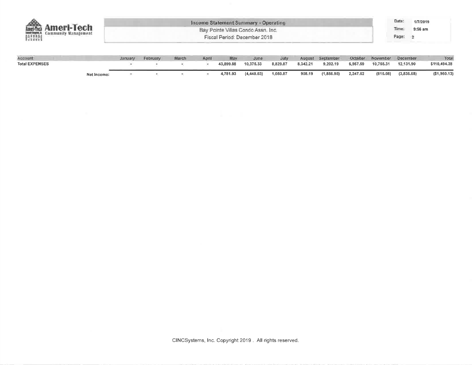| <b>Ameri-Tech</b>          | Income Statement Summary - Operating<br>Bay Pointe Villas Condo Assn. Inc. |               |             |                   |                              |              |  |                     |  |                           | Date:<br>Time: | 1/7/2019<br>9:56 am |
|----------------------------|----------------------------------------------------------------------------|---------------|-------------|-------------------|------------------------------|--------------|--|---------------------|--|---------------------------|----------------|---------------------|
| 南曲<br>Community Management |                                                                            |               |             |                   | Fiscal Period: December 2018 |              |  |                     |  |                           | Page: 2        |                     |
| <b>MOORNARY</b>            | <b><i>Continuesment</i></b><br><b>BRANDADE</b>                             | <b>BROWNE</b> | $A$ and $I$ | <b>Difference</b> | <b>Tragerman</b>             | <b>Techo</b> |  | Account Contemplane |  | Gataker Nouvelor Becomber |                | Technik             |

| <b>LEAST CONTRACTOR</b> |             | <b>Material Control</b> |  | <b>SATISFEE</b> | <b>THERE'S</b> |              |                   |        | and a security and a security of the second second second second second second second second second second second second second second second second second second second second second second second second second second sec |                                | _______________________ | -----         |
|-------------------------|-------------|-------------------------|--|-----------------|----------------|--------------|-------------------|--------|--------------------------------------------------------------------------------------------------------------------------------------------------------------------------------------------------------------------------------|--------------------------------|-------------------------|---------------|
| <b>Total EXPENSES</b>   |             |                         |  |                 | 43,899.88      | 10,375.33    | 8,829.87 8,342.21 |        | 9,202.19                                                                                                                                                                                                                       | 6,957.59  10,755.31  12,131.90 |                         | \$110,494.28  |
|                         | Net Income: |                         |  |                 | 4,781.93       | (4, 440, 03) | 1,050.87          | 908.19 | $(1,856.95)$ 2,247.62                                                                                                                                                                                                          | (815.08)                       | (3,836,68)              | ( \$1,960.13) |